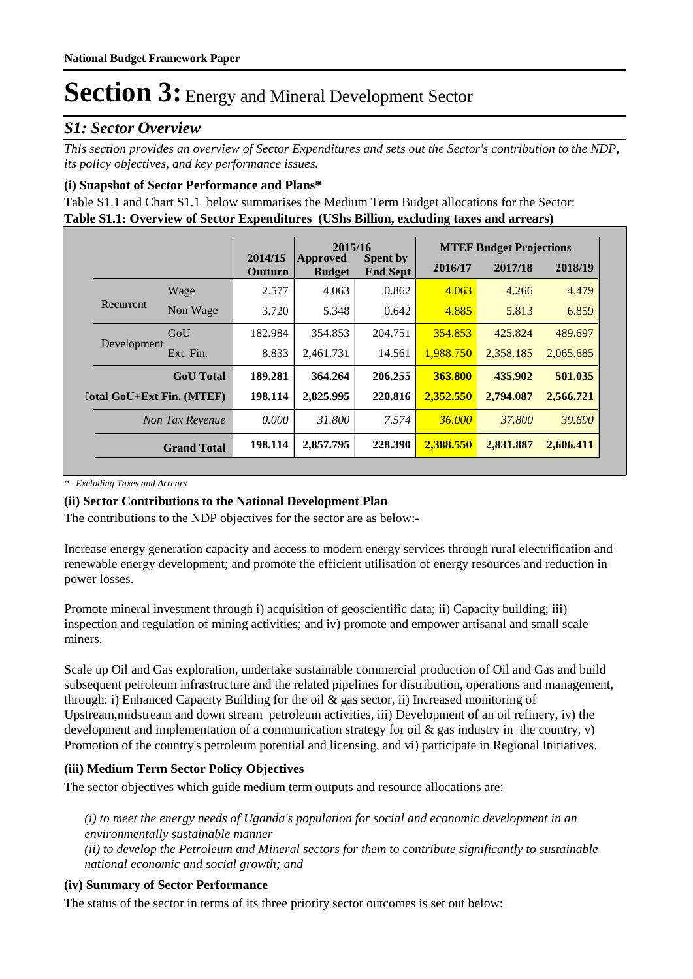### *S1: Sector Overview*

*This section provides an overview of Sector Expenditures and sets out the Sector's contribution to the NDP, its policy objectives, and key performance issues.* 

### **(i) Snapshot of Sector Performance and Plans\***

**Table S1.1: Overview of Sector Expenditures (UShs Billion, excluding taxes and arrears)** Table S1.1 and Chart S1.1 below summarises the Medium Term Budget allocations for the Sector:

|             |                                  |                    | 2015/16                          |                                    |           | <b>MTEF Budget Projections</b> |           |
|-------------|----------------------------------|--------------------|----------------------------------|------------------------------------|-----------|--------------------------------|-----------|
|             |                                  | 2014/15<br>Outturn | <b>Approved</b><br><b>Budget</b> | <b>Spent by</b><br><b>End Sept</b> | 2016/17   | 2017/18                        | 2018/19   |
|             | Wage                             | 2.577              | 4.063                            | 0.862                              | 4.063     | 4.266                          | 4.479     |
| Recurrent   | Non Wage                         | 3.720              | 5.348                            | 0.642                              | 4.885     | 5.813                          | 6.859     |
|             | GoU                              | 182.984            | 354.853                          | 204.751                            | 354.853   | 425.824                        | 489.697   |
| Development | Ext. Fin.                        | 8.833              | 2,461.731                        | 14.561                             | 1,988.750 | 2,358.185                      | 2,065.685 |
|             | <b>GoU</b> Total                 | 189.281            | 364.264                          | 206.255                            | 363.800   | 435.902                        | 501.035   |
|             | <b>Total GoU+Ext Fin. (MTEF)</b> | 198.114            | 2,825.995                        | 220.816                            | 2,352.550 | 2,794.087                      | 2,566.721 |
|             | Non Tax Revenue                  | 0.000              | 31.800                           | 7.574                              | 36,000    | 37,800                         | 39.690    |
|             | <b>Grand Total</b>               | 198.114            | 2,857.795                        | 228.390                            | 2,388.550 | 2,831.887                      | 2,606.411 |

*\* Excluding Taxes and Arrears*

### **(ii) Sector Contributions to the National Development Plan**

The contributions to the NDP objectives for the sector are as below:-

Increase energy generation capacity and access to modern energy services through rural electrification and renewable energy development; and promote the efficient utilisation of energy resources and reduction in power losses.

Promote mineral investment through i) acquisition of geoscientific data; ii) Capacity building; iii) inspection and regulation of mining activities; and iv) promote and empower artisanal and small scale miners.

Scale up Oil and Gas exploration, undertake sustainable commercial production of Oil and Gas and build subsequent petroleum infrastructure and the related pipelines for distribution, operations and management, through: i) Enhanced Capacity Building for the oil & gas sector, ii) Increased monitoring of Upstream,midstream and down stream petroleum activities, iii) Development of an oil refinery, iv) the development and implementation of a communication strategy for oil  $\&$  gas industry in the country, v) Promotion of the country's petroleum potential and licensing, and vi) participate in Regional Initiatives.

### **(iii) Medium Term Sector Policy Objectives**

The sector objectives which guide medium term outputs and resource allocations are:

*(i) to meet the energy needs of Uganda's population for social and economic development in an environmentally sustainable manner (ii) to develop the Petroleum and Mineral sectors for them to contribute significantly to sustainable national economic and social growth; and*

### **(iv) Summary of Sector Performance**

The status of the sector in terms of its three priority sector outcomes is set out below: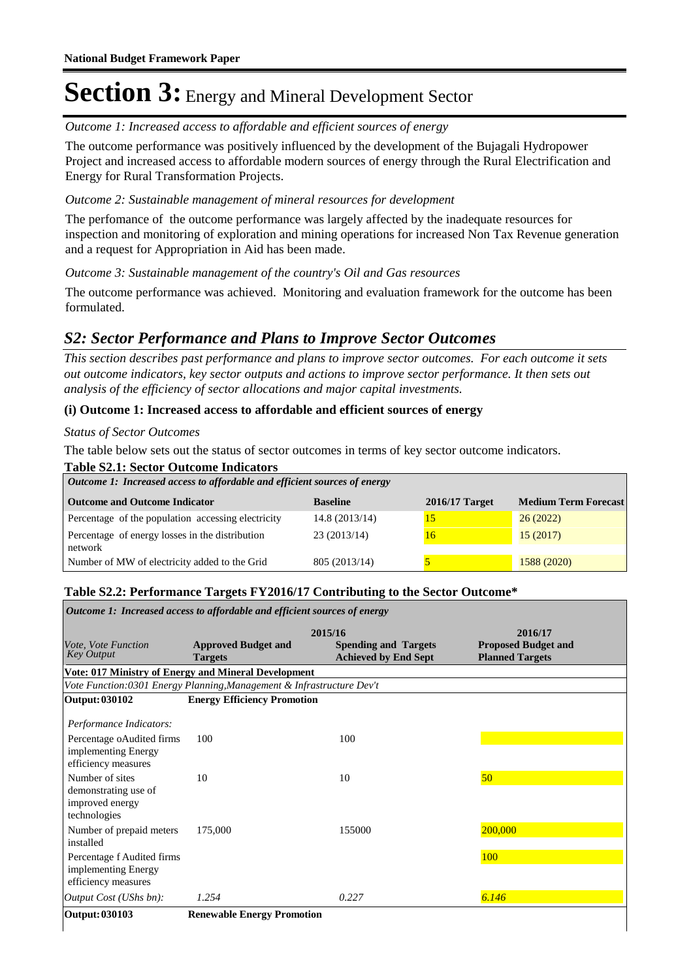Outcome 1: Increased access to affordable and efficient sources of energy

The outcome performance was positively influenced by the development of the Bujagali Hydropower Project and increased access to affordable modern sources of energy through the Rural Electrification and Energy for Rural Transformation Projects.

### Outcome 2: Sustainable management of mineral resources for development

The perfomance of the outcome performance was largely affected by the inadequate resources for inspection and monitoring of exploration and mining operations for increased Non Tax Revenue generation and a request for Appropriation in Aid has been made.

Outcome 3: Sustainable management of the country's Oil and Gas resources

The outcome performance was achieved. Monitoring and evaluation framework for the outcome has been formulated.

### *S2: Sector Performance and Plans to Improve Sector Outcomes*

*This section describes past performance and plans to improve sector outcomes. For each outcome it sets out outcome indicators, key sector outputs and actions to improve sector performance. It then sets out analysis of the efficiency of sector allocations and major capital investments.*

### **(i) Outcome 1: Increased access to affordable and efficient sources of energy**

#### *Status of Sector Outcomes*

The table below sets out the status of sector outcomes in terms of key sector outcome indicators.

#### **Table S2.1: Sector Outcome Indicators**

| Outcome 1: Increased access to affordable and efficient sources of energy |                 |                  |                             |  |  |  |
|---------------------------------------------------------------------------|-----------------|------------------|-----------------------------|--|--|--|
| <b>Outcome and Outcome Indicator</b>                                      | <b>Baseline</b> | $2016/17$ Target | <b>Medium Term Forecast</b> |  |  |  |
| Percentage of the population accessing electricity                        | 14.8(2013/14)   | 10               | 26(2022)                    |  |  |  |
| Percentage of energy losses in the distribution<br>network                | 23(2013/14)     | 16               | 15(2017)                    |  |  |  |
| Number of MW of electricity added to the Grid                             | 805 (2013/14)   |                  | 1588 (2020)                 |  |  |  |

### **Table S2.2: Performance Targets FY2016/17 Contributing to the Sector Outcome\***

| Outcome 1: Increased access to affordable and efficient sources of energy  |                                                                       |                                                            |                                                      |  |  |  |
|----------------------------------------------------------------------------|-----------------------------------------------------------------------|------------------------------------------------------------|------------------------------------------------------|--|--|--|
|                                                                            | 2015/16<br>2016/17                                                    |                                                            |                                                      |  |  |  |
| <i>Vote. Vote Function</i><br><b>Key Output</b>                            | <b>Approved Budget and</b><br><b>Targets</b>                          | <b>Spending and Targets</b><br><b>Achieved by End Sept</b> | <b>Proposed Budget and</b><br><b>Planned Targets</b> |  |  |  |
|                                                                            | Vote: 017 Ministry of Energy and Mineral Development                  |                                                            |                                                      |  |  |  |
|                                                                            | Vote Function:0301 Energy Planning, Management & Infrastructure Dev't |                                                            |                                                      |  |  |  |
| Output: 030102                                                             | <b>Energy Efficiency Promotion</b>                                    |                                                            |                                                      |  |  |  |
| Performance Indicators:                                                    |                                                                       |                                                            |                                                      |  |  |  |
| Percentage oAudited firms<br>implementing Energy<br>efficiency measures    | 100                                                                   | 100                                                        |                                                      |  |  |  |
| Number of sites<br>demonstrating use of<br>improved energy<br>technologies | 10                                                                    | 10                                                         | 50                                                   |  |  |  |
| Number of prepaid meters<br>installed                                      | 175,000                                                               | 155000                                                     | 200,000                                              |  |  |  |
| Percentage f Audited firms<br>implementing Energy<br>efficiency measures   |                                                                       |                                                            | <b>100</b>                                           |  |  |  |
| Output Cost (UShs bn):                                                     | 1.254                                                                 | 0.227                                                      | 6.146                                                |  |  |  |
| Output: 030103                                                             | <b>Renewable Energy Promotion</b>                                     |                                                            |                                                      |  |  |  |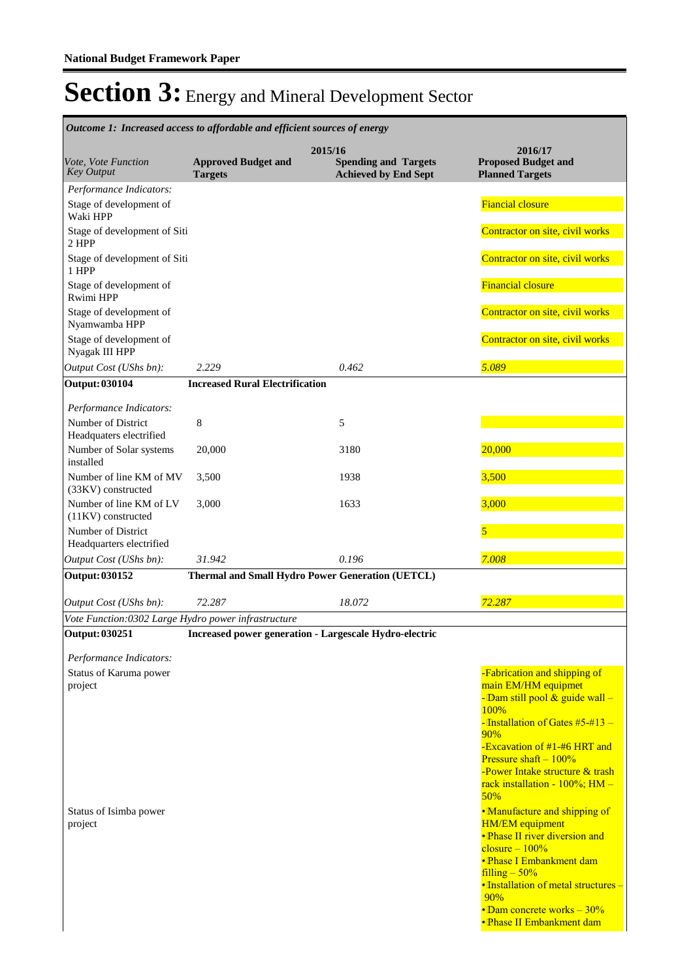| Outcome 1: Increased access to affordable and efficient sources of energy |                                                        |         |                                                            |                                                                                                                                                                                                                                                                                                                                                                                                                                                                                                                                                                           |  |  |
|---------------------------------------------------------------------------|--------------------------------------------------------|---------|------------------------------------------------------------|---------------------------------------------------------------------------------------------------------------------------------------------------------------------------------------------------------------------------------------------------------------------------------------------------------------------------------------------------------------------------------------------------------------------------------------------------------------------------------------------------------------------------------------------------------------------------|--|--|
| Vote, Vote Function<br><b>Key Output</b>                                  | <b>Approved Budget and</b><br><b>Targets</b>           | 2015/16 | <b>Spending and Targets</b><br><b>Achieved by End Sept</b> | 2016/17<br><b>Proposed Budget and</b><br><b>Planned Targets</b>                                                                                                                                                                                                                                                                                                                                                                                                                                                                                                           |  |  |
| Performance Indicators:<br>Stage of development of<br>Waki HPP            |                                                        |         |                                                            | <b>Fiancial closure</b>                                                                                                                                                                                                                                                                                                                                                                                                                                                                                                                                                   |  |  |
| Stage of development of Siti<br>2 HPP                                     |                                                        |         |                                                            | Contractor on site, civil works                                                                                                                                                                                                                                                                                                                                                                                                                                                                                                                                           |  |  |
| Stage of development of Siti<br>1 HPP                                     |                                                        |         |                                                            | Contractor on site, civil works                                                                                                                                                                                                                                                                                                                                                                                                                                                                                                                                           |  |  |
| Stage of development of<br>Rwimi HPP                                      |                                                        |         |                                                            | <b>Financial closure</b>                                                                                                                                                                                                                                                                                                                                                                                                                                                                                                                                                  |  |  |
| Stage of development of<br>Nyamwamba HPP                                  |                                                        |         |                                                            | Contractor on site, civil works                                                                                                                                                                                                                                                                                                                                                                                                                                                                                                                                           |  |  |
| Stage of development of<br>Nyagak III HPP<br>Output Cost (UShs bn):       | 2.229                                                  |         | 0.462                                                      | Contractor on site, civil works<br>5.089                                                                                                                                                                                                                                                                                                                                                                                                                                                                                                                                  |  |  |
|                                                                           |                                                        |         |                                                            |                                                                                                                                                                                                                                                                                                                                                                                                                                                                                                                                                                           |  |  |
| <b>Output: 030104</b>                                                     | <b>Increased Rural Electrification</b>                 |         |                                                            |                                                                                                                                                                                                                                                                                                                                                                                                                                                                                                                                                                           |  |  |
| Performance Indicators:<br>Number of District                             | $\,8\,$                                                |         | 5                                                          |                                                                                                                                                                                                                                                                                                                                                                                                                                                                                                                                                                           |  |  |
| Headquaters electrified<br>Number of Solar systems<br>installed           | 20,000                                                 |         | 3180                                                       | 20,000                                                                                                                                                                                                                                                                                                                                                                                                                                                                                                                                                                    |  |  |
| Number of line KM of MV<br>(33KV) constructed                             | 3,500                                                  |         | 1938                                                       | 3,500                                                                                                                                                                                                                                                                                                                                                                                                                                                                                                                                                                     |  |  |
| Number of line KM of LV<br>$(11KV)$ constructed                           | 3,000                                                  |         | 1633                                                       | 3,000                                                                                                                                                                                                                                                                                                                                                                                                                                                                                                                                                                     |  |  |
| Number of District<br>Headquarters electrified                            |                                                        |         |                                                            | 5                                                                                                                                                                                                                                                                                                                                                                                                                                                                                                                                                                         |  |  |
| Output Cost (UShs bn):                                                    | 31.942                                                 |         | 0.196                                                      | 7.008                                                                                                                                                                                                                                                                                                                                                                                                                                                                                                                                                                     |  |  |
| <b>Output: 030152</b>                                                     | Thermal and Small Hydro Power Generation (UETCL)       |         |                                                            |                                                                                                                                                                                                                                                                                                                                                                                                                                                                                                                                                                           |  |  |
| Output Cost (UShs bn):                                                    | 72.287                                                 |         | 18.072                                                     | 72.287                                                                                                                                                                                                                                                                                                                                                                                                                                                                                                                                                                    |  |  |
| Vote Function:0302 Large Hydro power infrastructure                       |                                                        |         |                                                            |                                                                                                                                                                                                                                                                                                                                                                                                                                                                                                                                                                           |  |  |
| <b>Output: 030251</b><br>Performance Indicators:                          | Increased power generation - Largescale Hydro-electric |         |                                                            |                                                                                                                                                                                                                                                                                                                                                                                                                                                                                                                                                                           |  |  |
| Status of Karuma power<br>project<br>Status of Isimba power<br>project    |                                                        |         |                                                            | -Fabrication and shipping of<br>main EM/HM equipmet<br>- Dam still pool $\&$ guide wall -<br>100%<br>-Installation of Gates $#5-#13-$<br>90%<br>-Excavation of #1-#6 HRT and<br>Pressure shaft $-100\%$<br>-Power Intake structure & trash<br>rack installation - 100%; HM -<br>50%<br>•Manufacture and shipping of<br><b>HM/EM</b> equipment<br>• Phase II river diversion and<br>$closure - 100%$<br>• Phase I Embankment dam<br>$filling - 50%$<br>• Installation of metal structures -<br>90%<br>$\cdot$ Dam concrete works – 30%<br><b>• Phase II Embankment dam</b> |  |  |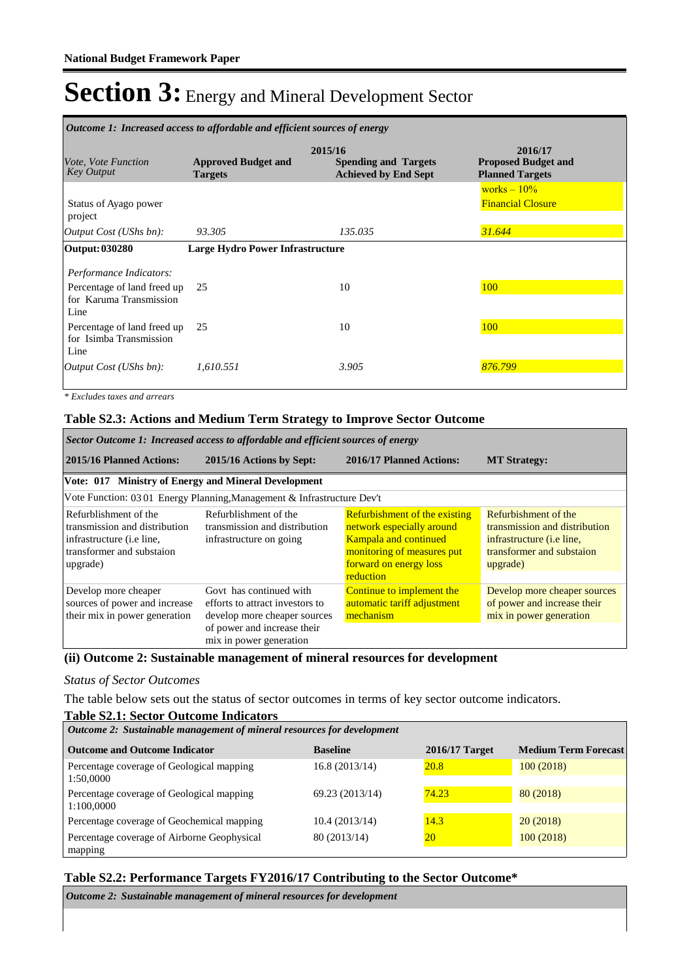| <i>Outcome 1: Increased access to affordable and efficient sources of energy</i>          |                                              |                                                                       |                                                                 |  |  |
|-------------------------------------------------------------------------------------------|----------------------------------------------|-----------------------------------------------------------------------|-----------------------------------------------------------------|--|--|
| <i>Vote, Vote Function</i><br><b>Key Output</b>                                           | <b>Approved Budget and</b><br><b>Targets</b> | 2015/16<br><b>Spending and Targets</b><br><b>Achieved by End Sept</b> | 2016/17<br><b>Proposed Budget and</b><br><b>Planned Targets</b> |  |  |
| Status of Ayago power<br>project                                                          |                                              |                                                                       | works $-10\%$<br><b>Financial Closure</b>                       |  |  |
| Output Cost (UShs bn):                                                                    | 93.305                                       | 135.035                                                               | 31.644                                                          |  |  |
| Output: 030280                                                                            | <b>Large Hydro Power Infrastructure</b>      |                                                                       |                                                                 |  |  |
| Performance Indicators:<br>Percentage of land freed up<br>for Karuma Transmission<br>Line | 25                                           | 10                                                                    | 100                                                             |  |  |
| Percentage of land freed up<br>for Isimba Transmission<br>Line                            | 25                                           | 10                                                                    | 100                                                             |  |  |
| <i>Output Cost (UShs bn):</i>                                                             | 1,610.551                                    | 3.905                                                                 | 876.799                                                         |  |  |

*\* Excludes taxes and arrears*

### **Table S2.3: Actions and Medium Term Strategy to Improve Sector Outcome**

| Sector Outcome 1: Increased access to affordable and efficient sources of energy                                                      |                                                                                                                                                      |                                                                                                                                                                        |                                                                                                                                    |  |  |
|---------------------------------------------------------------------------------------------------------------------------------------|------------------------------------------------------------------------------------------------------------------------------------------------------|------------------------------------------------------------------------------------------------------------------------------------------------------------------------|------------------------------------------------------------------------------------------------------------------------------------|--|--|
| 2015/16 Planned Actions:                                                                                                              | 2015/16 Actions by Sept:                                                                                                                             | 2016/17 Planned Actions:                                                                                                                                               | <b>MT Strategy:</b>                                                                                                                |  |  |
| Vote: 017 Ministry of Energy and Mineral Development                                                                                  |                                                                                                                                                      |                                                                                                                                                                        |                                                                                                                                    |  |  |
|                                                                                                                                       | Vote Function: 03 01 Energy Planning, Management & Infrastructure Dev't                                                                              |                                                                                                                                                                        |                                                                                                                                    |  |  |
| Refurblishment of the<br>transmission and distribution<br>infrastructure ( <i>i.e line</i> ,<br>transformer and substaion<br>upgrade) | Refurblishment of the<br>transmission and distribution<br>infrastructure on going                                                                    | <b>Refurbishment of the existing</b><br>network especially around<br><b>Kampala and continued</b><br>monitoring of measures put<br>forward on energy loss<br>reduction | Refurbishment of the<br>transmission and distribution<br>infrastructure <i>(i.e line,</i><br>transformer and substaion<br>upgrade) |  |  |
| Develop more cheaper<br>sources of power and increase<br>their mix in power generation                                                | Govt has continued with<br>efforts to attract investors to<br>develop more cheaper sources<br>of power and increase their<br>mix in power generation | Continue to implement the<br>automatic tariff adjustment<br>mechanism                                                                                                  | Develop more cheaper sources<br>of power and increase their<br>mix in power generation                                             |  |  |

#### **(ii) Outcome 2: Sustainable management of mineral resources for development**

#### *Status of Sector Outcomes*

The table below sets out the status of sector outcomes in terms of key sector outcome indicators.

#### **Table S2.1: Sector Outcome Indicators Outcome and Outcome Indicator Baseline 2016/17 Target Medium Term Forecast** *Outcome 2: Sustainable management of mineral resources for development* Percentage coverage of Geological mapping 1:50,0000 16.8 (2013/14) 20.8 100 (2018) Percentage coverage of Geological mapping 1:100,0000 69.23 (2013/14) 74.23 80 (2018) Percentage coverage of Geochemical mapping 10.4 (2013/14) 14.3 20 (2018) Percentage coverage of Airborne Geophysical mapping 80 (2013/14) 20 100 (2018)

### **Table S2.2: Performance Targets FY2016/17 Contributing to the Sector Outcome\***

*Outcome 2: Sustainable management of mineral resources for development*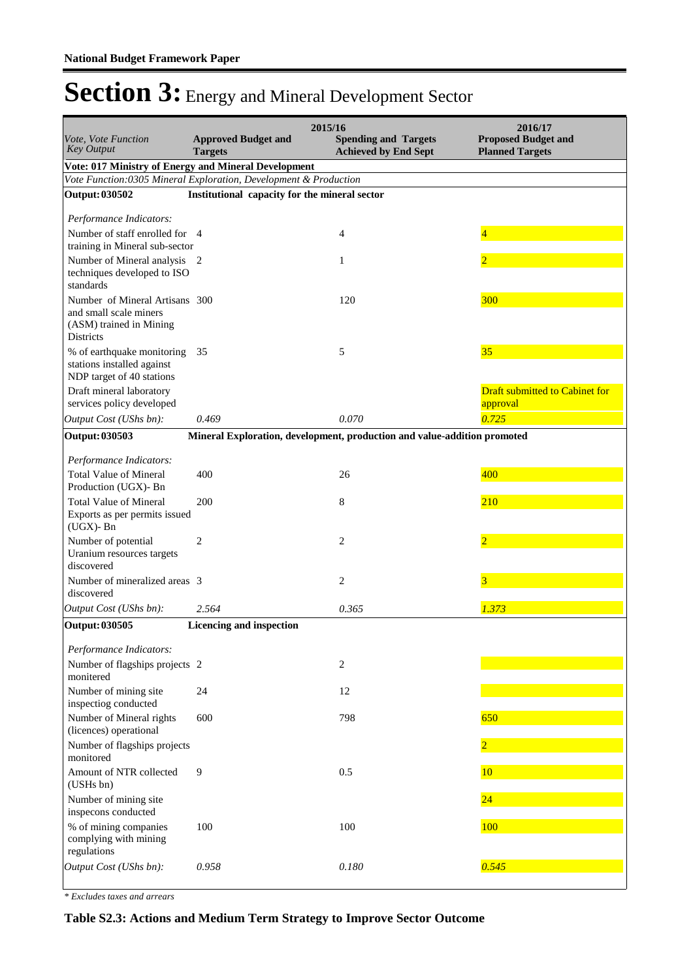|                                                                                                         | 2015/16<br>2016/17                            |                                                                          |                                                      |  |  |
|---------------------------------------------------------------------------------------------------------|-----------------------------------------------|--------------------------------------------------------------------------|------------------------------------------------------|--|--|
| Vote, Vote Function<br><b>Key Output</b>                                                                | <b>Approved Budget and</b><br><b>Targets</b>  | <b>Spending and Targets</b><br><b>Achieved by End Sept</b>               | <b>Proposed Budget and</b><br><b>Planned Targets</b> |  |  |
| Vote: 017 Ministry of Energy and Mineral Development                                                    |                                               |                                                                          |                                                      |  |  |
| Vote Function: 0305 Mineral Exploration, Development & Production                                       | Institutional capacity for the mineral sector |                                                                          |                                                      |  |  |
| <b>Output: 030502</b>                                                                                   |                                               |                                                                          |                                                      |  |  |
| Performance Indicators:                                                                                 |                                               |                                                                          |                                                      |  |  |
| Number of staff enrolled for 4<br>training in Mineral sub-sector                                        |                                               | 4                                                                        | 4                                                    |  |  |
| Number of Mineral analysis                                                                              | 2                                             | 1                                                                        | $\overline{2}$                                       |  |  |
| techniques developed to ISO                                                                             |                                               |                                                                          |                                                      |  |  |
| standards                                                                                               |                                               |                                                                          |                                                      |  |  |
| Number of Mineral Artisans 300<br>and small scale miners<br>(ASM) trained in Mining<br><b>Districts</b> |                                               | 120                                                                      | <b>300</b>                                           |  |  |
| % of earthquake monitoring<br>stations installed against<br>NDP target of 40 stations                   | 35                                            | 5                                                                        | 35                                                   |  |  |
| Draft mineral laboratory<br>services policy developed                                                   |                                               |                                                                          | <b>Draft submitted to Cabinet for</b><br>approval    |  |  |
| Output Cost (UShs bn):                                                                                  | 0.469                                         | 0.070                                                                    | 0.725                                                |  |  |
| <b>Output: 030503</b>                                                                                   |                                               | Mineral Exploration, development, production and value-addition promoted |                                                      |  |  |
| Performance Indicators:                                                                                 |                                               |                                                                          |                                                      |  |  |
| <b>Total Value of Mineral</b><br>Production (UGX)- Bn                                                   | 400                                           | 26                                                                       | 400                                                  |  |  |
| <b>Total Value of Mineral</b>                                                                           | 200                                           | 8                                                                        | 210                                                  |  |  |
| Exports as per permits issued<br>$(UGX)$ - Bn                                                           |                                               |                                                                          |                                                      |  |  |
| Number of potential<br>Uranium resources targets<br>discovered                                          | $\overline{c}$                                | 2                                                                        | $\overline{2}$                                       |  |  |
| Number of mineralized areas 3                                                                           |                                               | 2                                                                        | 3                                                    |  |  |
| discovered                                                                                              |                                               |                                                                          |                                                      |  |  |
| Output Cost (UShs bn):                                                                                  | 2.564                                         | 0.365                                                                    | 1.373                                                |  |  |
| <b>Output: 030505</b>                                                                                   | Licencing and inspection                      |                                                                          |                                                      |  |  |
| Performance Indicators:                                                                                 |                                               |                                                                          |                                                      |  |  |
| Number of flagships projects 2<br>monitered                                                             |                                               | $\mathbf{2}$                                                             |                                                      |  |  |
| Number of mining site<br>inspectiog conducted                                                           | 24                                            | 12                                                                       |                                                      |  |  |
| Number of Mineral rights<br>(licences) operational                                                      | 600                                           | 798                                                                      | 650                                                  |  |  |
| Number of flagships projects<br>monitored                                                               |                                               |                                                                          |                                                      |  |  |
| Amount of NTR collected<br>(USHs bn)                                                                    | 9                                             | 0.5                                                                      | 10                                                   |  |  |
| Number of mining site<br>inspecons conducted                                                            |                                               |                                                                          | 24                                                   |  |  |
| % of mining companies<br>complying with mining<br>regulations                                           | 100                                           | 100                                                                      | 100                                                  |  |  |
| Output Cost (UShs bn):                                                                                  | 0.958                                         | 0.180                                                                    | 0.545                                                |  |  |

*\* Excludes taxes and arrears*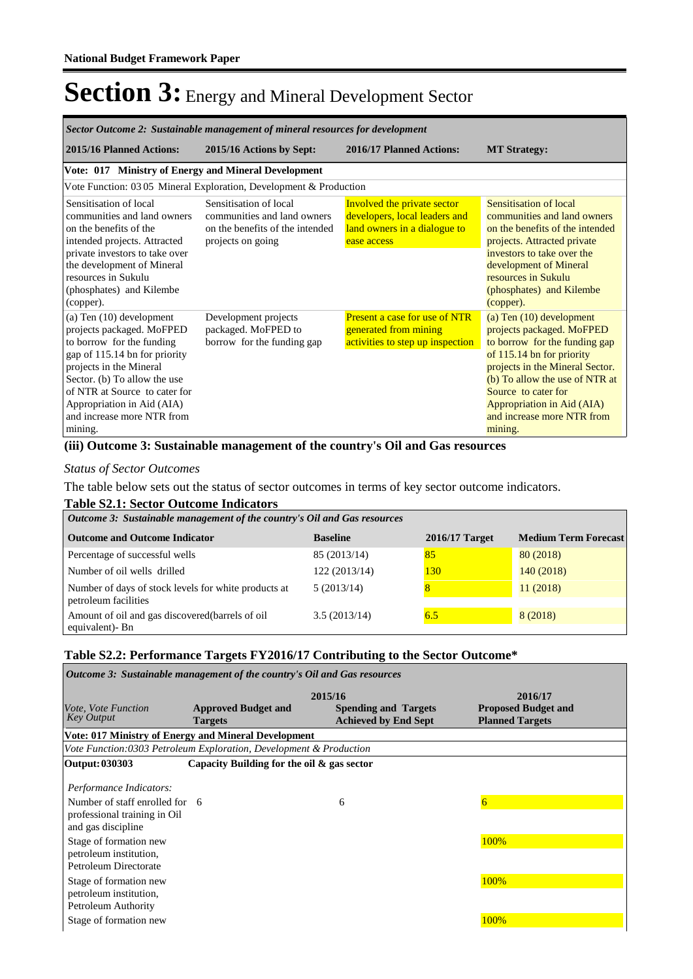| Sector Outcome 2: Sustainable management of mineral resources for development                                                                                                                                                                                                            |                                                                                                               |                                                                                                             |                                                                                                                                                                                                                                                                                          |  |  |
|------------------------------------------------------------------------------------------------------------------------------------------------------------------------------------------------------------------------------------------------------------------------------------------|---------------------------------------------------------------------------------------------------------------|-------------------------------------------------------------------------------------------------------------|------------------------------------------------------------------------------------------------------------------------------------------------------------------------------------------------------------------------------------------------------------------------------------------|--|--|
| 2015/16 Planned Actions:                                                                                                                                                                                                                                                                 | 2015/16 Actions by Sept:                                                                                      | 2016/17 Planned Actions:                                                                                    | <b>MT Strategy:</b>                                                                                                                                                                                                                                                                      |  |  |
| Vote: 017 Ministry of Energy and Mineral Development                                                                                                                                                                                                                                     |                                                                                                               |                                                                                                             |                                                                                                                                                                                                                                                                                          |  |  |
|                                                                                                                                                                                                                                                                                          | Vote Function: 03 05 Mineral Exploration, Development & Production                                            |                                                                                                             |                                                                                                                                                                                                                                                                                          |  |  |
| Sensitisation of local<br>communities and land owners<br>on the benefits of the<br>intended projects. Attracted<br>private investors to take over<br>the development of Mineral<br>resources in Sukulu<br>(phosphates) and Kilembe<br>(copper).                                          | Sensitisation of local<br>communities and land owners<br>on the benefits of the intended<br>projects on going | Involved the private sector<br>developers, local leaders and<br>land owners in a dialogue to<br>ease access | Sensitisation of local<br>communities and land owners<br>on the benefits of the intended<br>projects. Attracted private<br>investors to take over the<br>development of Mineral<br>resources in Sukulu<br>(phosphates) and Kilembe<br>(copper).                                          |  |  |
| (a) Ten $(10)$ development<br>projects packaged. MoFPED<br>to borrow for the funding<br>gap of 115.14 bn for priority<br>projects in the Mineral<br>Sector. (b) To allow the use<br>of NTR at Source to cater for<br>Appropriation in Aid (AIA)<br>and increase more NTR from<br>mining. | Development projects<br>packaged. MoFPED to<br>borrow for the funding gap                                     | <b>Present a case for use of NTR</b><br>generated from mining<br>activities to step up inspection           | (a) Ten $(10)$ development<br>projects packaged. MoFPED<br>to borrow for the funding gap<br>of 115.14 bn for priority<br>projects in the Mineral Sector.<br>(b) To allow the use of NTR at<br>Source to cater for<br>Appropriation in Aid (AIA)<br>and increase more NTR from<br>mining. |  |  |

#### **(iii) Outcome 3: Sustainable management of the country's Oil and Gas resources**

*Status of Sector Outcomes*

The table below sets out the status of sector outcomes in terms of key sector outcome indicators.

### **Table S2.1: Sector Outcome Indicators**

| Outcome 3: Sustainable management of the country's Oil and Gas resources     |                 |                  |                             |  |  |  |
|------------------------------------------------------------------------------|-----------------|------------------|-----------------------------|--|--|--|
| <b>Outcome and Outcome Indicator</b>                                         | <b>Baseline</b> | $2016/17$ Target | <b>Medium Term Forecast</b> |  |  |  |
| Percentage of successful wells                                               | 85 (2013/14)    | 85               | 80(2018)                    |  |  |  |
| Number of oil wells drilled                                                  | 122(2013/14)    | 130              | 140(2018)                   |  |  |  |
| Number of days of stock levels for white products at<br>petroleum facilities | 5(2013/14)      |                  | 11(2018)                    |  |  |  |
| Amount of oil and gas discovered (barrels of oil<br>equivalent)- Bn          | 3.5(2013/14)    | 6.5              | 8 (2018)                    |  |  |  |

### **Table S2.2: Performance Targets FY2016/17 Contributing to the Sector Outcome\***

| <i>Outcome 3: Sustainable management of the country's Oil and Gas resources</i>                                                                                                                                                                                         |                                                                    |                                                            |                                                                 |  |  |
|-------------------------------------------------------------------------------------------------------------------------------------------------------------------------------------------------------------------------------------------------------------------------|--------------------------------------------------------------------|------------------------------------------------------------|-----------------------------------------------------------------|--|--|
| <i>Vote, Vote Function</i><br><b>Key Output</b>                                                                                                                                                                                                                         | 2015/16<br><b>Approved Budget and</b><br><b>Targets</b>            | <b>Spending and Targets</b><br><b>Achieved by End Sept</b> | 2016/17<br><b>Proposed Budget and</b><br><b>Planned Targets</b> |  |  |
|                                                                                                                                                                                                                                                                         | Vote: 017 Ministry of Energy and Mineral Development               |                                                            |                                                                 |  |  |
|                                                                                                                                                                                                                                                                         | Vote Function:0303 Petroleum Exploration, Development & Production |                                                            |                                                                 |  |  |
| Output: 030303                                                                                                                                                                                                                                                          | Capacity Building for the oil $\&$ gas sector                      |                                                            |                                                                 |  |  |
| Performance Indicators:<br>Number of staff enrolled for 6<br>professional training in Oil<br>and gas discipline<br>Stage of formation new<br>petroleum institution,<br>Petroleum Directorate<br>Stage of formation new<br>petroleum institution,<br>Petroleum Authority |                                                                    | 6                                                          | $6\overline{}$<br>100%<br>100%                                  |  |  |
| Stage of formation new                                                                                                                                                                                                                                                  |                                                                    |                                                            | 100%                                                            |  |  |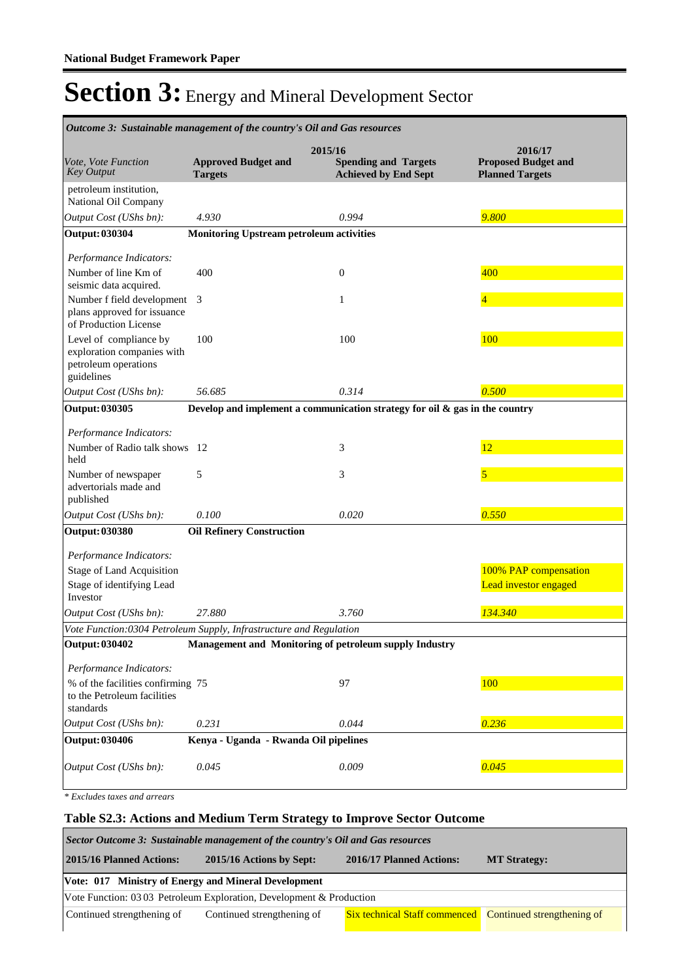| Outcome 3: Sustainable management of the country's Oil and Gas resources                   |                                                 |                                                                                |                                                                 |  |  |
|--------------------------------------------------------------------------------------------|-------------------------------------------------|--------------------------------------------------------------------------------|-----------------------------------------------------------------|--|--|
| Vote, Vote Function<br><b>Key Output</b>                                                   | <b>Approved Budget and</b><br><b>Targets</b>    | 2015/16<br><b>Spending and Targets</b><br><b>Achieved by End Sept</b>          | 2016/17<br><b>Proposed Budget and</b><br><b>Planned Targets</b> |  |  |
| petroleum institution,<br>National Oil Company                                             |                                                 |                                                                                |                                                                 |  |  |
| Output Cost (UShs bn):                                                                     | 4.930                                           | 0.994                                                                          | 9.800                                                           |  |  |
| <b>Output: 030304</b>                                                                      | <b>Monitoring Upstream petroleum activities</b> |                                                                                |                                                                 |  |  |
| Performance Indicators:                                                                    |                                                 |                                                                                |                                                                 |  |  |
| Number of line Km of<br>seismic data acquired.                                             | 400                                             | $\boldsymbol{0}$                                                               | 400                                                             |  |  |
| Number f field development<br>plans approved for issuance<br>of Production License         | 3                                               | 1                                                                              |                                                                 |  |  |
| Level of compliance by<br>exploration companies with<br>petroleum operations<br>guidelines | 100                                             | 100                                                                            | 100                                                             |  |  |
| Output Cost (UShs bn):                                                                     | 56.685                                          | 0.314                                                                          | 0.500                                                           |  |  |
| <b>Output: 030305</b>                                                                      |                                                 | Develop and implement a communication strategy for oil $\&$ gas in the country |                                                                 |  |  |
| Performance Indicators:                                                                    |                                                 |                                                                                |                                                                 |  |  |
| Number of Radio talk shows<br>held                                                         | -12                                             | 3                                                                              | 12                                                              |  |  |
| Number of newspaper<br>advertorials made and<br>published                                  | 5                                               | 3                                                                              | 5                                                               |  |  |
| Output Cost (UShs bn):                                                                     | 0.100                                           | 0.020                                                                          | 0.550                                                           |  |  |
| <b>Output: 030380</b>                                                                      | <b>Oil Refinery Construction</b>                |                                                                                |                                                                 |  |  |
| Performance Indicators:                                                                    |                                                 |                                                                                |                                                                 |  |  |
| <b>Stage of Land Acquisition</b>                                                           |                                                 |                                                                                | 100% PAP compensation                                           |  |  |
| Stage of identifying Lead<br>Investor                                                      |                                                 |                                                                                | Lead investor engaged                                           |  |  |
| Output Cost (UShs bn):                                                                     | 27.880                                          | 3.760                                                                          | 134.340                                                         |  |  |
| Vote Function:0304 Petroleum Supply, Infrastructure and Regulation                         |                                                 |                                                                                |                                                                 |  |  |
| Output: 030402                                                                             |                                                 | Management and Monitoring of petroleum supply Industry                         |                                                                 |  |  |
| Performance Indicators:                                                                    |                                                 |                                                                                |                                                                 |  |  |
| % of the facilities confirming 75<br>to the Petroleum facilities<br>standards              |                                                 | 97                                                                             | 100                                                             |  |  |
| Output Cost (UShs bn):                                                                     | 0.231                                           | 0.044                                                                          | 0.236                                                           |  |  |
| <b>Output: 030406</b>                                                                      | Kenya - Uganda - Rwanda Oil pipelines           |                                                                                |                                                                 |  |  |
| Output Cost (UShs bn):                                                                     | 0.045                                           | 0.009                                                                          | 0.045                                                           |  |  |

*\* Excludes taxes and arrears*

### **Table S2.3: Actions and Medium Term Strategy to Improve Sector Outcome**

| Sector Outcome 3: Sustainable management of the country's Oil and Gas resources                                             |  |  |  |  |  |  |
|-----------------------------------------------------------------------------------------------------------------------------|--|--|--|--|--|--|
| 2015/16 Planned Actions:<br>2015/16 Actions by Sept:<br>2016/17 Planned Actions:<br><b>MT Strategy:</b>                     |  |  |  |  |  |  |
| Vote: 017 Ministry of Energy and Mineral Development                                                                        |  |  |  |  |  |  |
| Vote Function: 0303 Petroleum Exploration, Development & Production                                                         |  |  |  |  |  |  |
| Continued strengthening of<br><b>Six technical Staff commenced</b> Continued strengthening of<br>Continued strengthening of |  |  |  |  |  |  |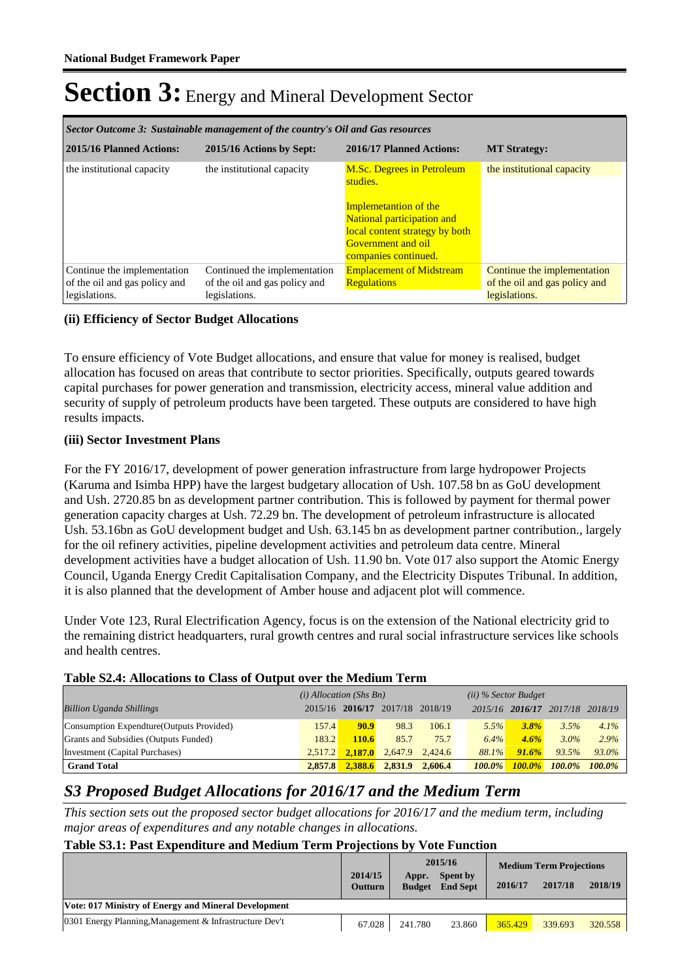| Sector Outcome 3: Sustainable management of the country's Oil and Gas resources |                                                                                |                                                                                                                                                                                                    |                                                                               |  |  |
|---------------------------------------------------------------------------------|--------------------------------------------------------------------------------|----------------------------------------------------------------------------------------------------------------------------------------------------------------------------------------------------|-------------------------------------------------------------------------------|--|--|
| 2015/16 Planned Actions:                                                        | 2015/16 Actions by Sept:                                                       | 2016/17 Planned Actions:                                                                                                                                                                           | <b>MT Strategy:</b>                                                           |  |  |
| the institutional capacity                                                      | the institutional capacity                                                     | <b>M.Sc. Degrees in Petroleum</b><br>studies.<br><b>Implemetantion of the</b><br>National participation and<br>local content strategy by both<br><b>Government</b> and oil<br>companies continued. | the institutional capacity                                                    |  |  |
| Continue the implementation<br>of the oil and gas policy and<br>legislations.   | Continued the implementation<br>of the oil and gas policy and<br>legislations. | <b>Emplacement of Midstream</b><br><b>Regulations</b>                                                                                                                                              | Continue the implementation<br>of the oil and gas policy and<br>legislations. |  |  |

### **(ii) Efficiency of Sector Budget Allocations**

To ensure efficiency of Vote Budget allocations, and ensure that value for money is realised, budget allocation has focused on areas that contribute to sector priorities. Specifically, outputs geared towards capital purchases for power generation and transmission, electricity access, mineral value addition and security of supply of petroleum products have been targeted. These outputs are considered to have high results impacts.

### **(iii) Sector Investment Plans**

For the FY 2016/17, development of power generation infrastructure from large hydropower Projects (Karuma and Isimba HPP) have the largest budgetary allocation of Ush. 107.58 bn as GoU development and Ush. 2720.85 bn as development partner contribution. This is followed by payment for thermal power generation capacity charges at Ush. 72.29 bn. The development of petroleum infrastructure is allocated Ush. 53.16bn as GoU development budget and Ush. 63.145 bn as development partner contribution., largely for the oil refinery activities, pipeline development activities and petroleum data centre. Mineral development activities have a budget allocation of Ush. 11.90 bn. Vote 017 also support the Atomic Energy Council, Uganda Energy Credit Capitalisation Company, and the Electricity Disputes Tribunal. In addition, it is also planned that the development of Amber house and adjacent plot will commence.

Under Vote 123, Rural Electrification Agency, focus is on the extension of the National electricity grid to the remaining district headquarters, rural growth centres and rural social infrastructure services like schools and health centres.

#### **Table S2.4: Allocations to Class of Output over the Medium Term**

|                                           | $(i)$ Allocation (Shs Bn) |                     |                                 | $(ii)$ % Sector Budget |           |                         |           |           |
|-------------------------------------------|---------------------------|---------------------|---------------------------------|------------------------|-----------|-------------------------|-----------|-----------|
| <b>Billion Uganda Shillings</b>           |                           |                     | 2015/16 2016/17 2017/18 2018/19 |                        |           | 2015/16 2016/17 2017/18 |           | 2018/19   |
| Consumption Expendture (Outputs Provided) | 157.4                     | 90.9                | 98.3                            | 106.1                  | 5.5%      | $3.8\%$                 | 3.5%      | $4.1\%$   |
| Grants and Subsidies (Outputs Funded)     | 183.2                     | 110.6               | 85.7                            | 75.7                   | 6.4%      | $4.6\%$                 | $3.0\%$   | 2.9%      |
| Investment (Capital Purchases)            |                           | $2.517.2$ $2.187.0$ |                                 | 2.647.9 2.424.6        | 88.1%     | 91.6%                   | 93.5%     | 93.0%     |
| <b>Grand Total</b>                        | 2.857.8                   | 2,388.6             | 2,831.9                         | 2.606.4                | $100.0\%$ | $100.0\%$               | $100.0\%$ | $100.0\%$ |

### *S3 Proposed Budget Allocations for 2016/17 and the Medium Term*

*This section sets out the proposed sector budget allocations for 2016/17 and the medium term, including major areas of expenditures and any notable changes in allocations.* 

### **Table S3.1: Past Expenditure and Medium Term Projections by Vote Function**

| A VINAV LIVIAI A VIIV ASIAN VALVAVUL V VILIV AIKVULVALLA A VA ALLA A V IV V VLVALU N |                           |                        |                                        |         |                                           |         |
|--------------------------------------------------------------------------------------|---------------------------|------------------------|----------------------------------------|---------|-------------------------------------------|---------|
|                                                                                      | 2014/15<br><b>Outturn</b> | Appr.<br><b>Budget</b> | 2015/16<br>Spent by<br><b>End Sept</b> | 2016/17 | <b>Medium Term Projections</b><br>2017/18 | 2018/19 |
| Vote: 017 Ministry of Energy and Mineral Development                                 |                           |                        |                                        |         |                                           |         |
| 0301 Energy Planning, Management & Infrastructure Dev't                              | 67.028                    | 241.780                | 23.860                                 | 365.429 | 339.693                                   | 320.558 |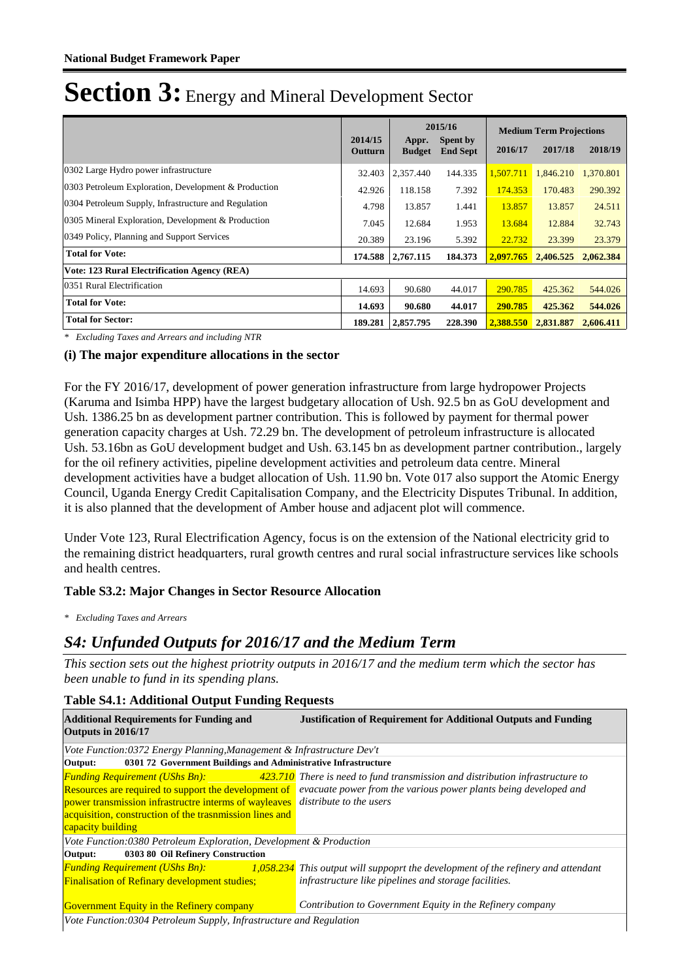|                                                      | 2014/15 |                        | 2015/16                     | <b>Medium Term Projections</b> |                     |           |  |
|------------------------------------------------------|---------|------------------------|-----------------------------|--------------------------------|---------------------|-----------|--|
|                                                      | Outturn | Appr.<br><b>Budget</b> | Spent by<br><b>End Sept</b> | 2016/17                        | 2017/18             | 2018/19   |  |
| 0302 Large Hydro power infrastructure                | 32.403  | 2,357.440              | 144.335                     | 1,507.711                      | 1,846.210           | 1,370.801 |  |
| 0303 Petroleum Exploration, Development & Production |         | 118.158                | 7.392                       | 174.353                        | 170.483             | 290.392   |  |
| 0304 Petroleum Supply, Infrastructure and Regulation | 4.798   | 13.857                 | 1.441                       | 13.857                         | 13.857              | 24.511    |  |
| 0305 Mineral Exploration, Development & Production   | 7.045   | 12.684                 | 1.953                       | 13.684                         | 12.884              | 32.743    |  |
| 0349 Policy, Planning and Support Services           |         | 23.196                 | 5.392                       | 22.732                         | 23.399              | 23.379    |  |
| <b>Total for Vote:</b>                               |         | 2,767.115              | 184.373                     | 2.097.765                      | 2.406.525           | 2.062.384 |  |
| <b>Vote: 123 Rural Electrification Agency (REA)</b>  |         |                        |                             |                                |                     |           |  |
| 0351 Rural Electrification                           | 14.693  | 90.680                 | 44.017                      | 290.785                        | 425.362             | 544.026   |  |
| <b>Total for Vote:</b>                               |         | 90.680                 | 44.017                      | 290.785                        | 425.362             | 544.026   |  |
| <b>Total for Sector:</b>                             |         | 2,857.795              | 228.390                     |                                | 2,388.550 2,831.887 | 2,606.411 |  |

*\* Excluding Taxes and Arrears and including NTR*

### **(i) The major expenditure allocations in the sector**

For the FY 2016/17, development of power generation infrastructure from large hydropower Projects (Karuma and Isimba HPP) have the largest budgetary allocation of Ush. 92.5 bn as GoU development and Ush. 1386.25 bn as development partner contribution. This is followed by payment for thermal power generation capacity charges at Ush. 72.29 bn. The development of petroleum infrastructure is allocated Ush. 53.16bn as GoU development budget and Ush. 63.145 bn as development partner contribution., largely for the oil refinery activities, pipeline development activities and petroleum data centre. Mineral development activities have a budget allocation of Ush. 11.90 bn. Vote 017 also support the Atomic Energy Council, Uganda Energy Credit Capitalisation Company, and the Electricity Disputes Tribunal. In addition, it is also planned that the development of Amber house and adjacent plot will commence.

Under Vote 123, Rural Electrification Agency, focus is on the extension of the National electricity grid to the remaining district headquarters, rural growth centres and rural social infrastructure services like schools and health centres.

### **Table S3.2: Major Changes in Sector Resource Allocation**

*\* Excluding Taxes and Arrears*

### *S4: Unfunded Outputs for 2016/17 and the Medium Term*

*This section sets out the highest priotrity outputs in 2016/17 and the medium term which the sector has been unable to fund in its spending plans.*

| Table 54.1. Additional Output Funding Requests                                                                                                                                                                                                                        |                                                                                                                                                   |  |  |  |  |
|-----------------------------------------------------------------------------------------------------------------------------------------------------------------------------------------------------------------------------------------------------------------------|---------------------------------------------------------------------------------------------------------------------------------------------------|--|--|--|--|
| <b>Additional Requirements for Funding and</b><br>Outputs in 2016/17                                                                                                                                                                                                  | <b>Justification of Requirement for Additional Outputs and Funding</b>                                                                            |  |  |  |  |
| Vote Function:0372 Energy Planning, Management & Infrastructure Dev't                                                                                                                                                                                                 |                                                                                                                                                   |  |  |  |  |
| 0301 72 Government Buildings and Administrative Infrastructure<br>Output:                                                                                                                                                                                             |                                                                                                                                                   |  |  |  |  |
| <b>Funding Requirement (UShs Bn):</b><br><b>Resources are required to support the development of</b><br>power transmission infrastructre interms of wayleaves distribute to the users<br>acquisition, construction of the trasnmission lines and<br>capacity building | 423.710 There is need to fund transmission and distribution infrastructure to<br>evacuate power from the various power plants being developed and |  |  |  |  |
| Vote Function:0380 Petroleum Exploration, Development & Production                                                                                                                                                                                                    |                                                                                                                                                   |  |  |  |  |
| 0303 80 Oil Refinery Construction<br>Output:                                                                                                                                                                                                                          |                                                                                                                                                   |  |  |  |  |
| <b>Funding Requirement (UShs Bn):</b><br><b>Finalisation of Refinary development studies;</b>                                                                                                                                                                         | $1,058.234$ This output will suppoprt the development of the refinery and attendant<br>infrastructure like pipelines and storage facilities.      |  |  |  |  |
| Contribution to Government Equity in the Refinery company<br><b>Government Equity in the Refinery company</b>                                                                                                                                                         |                                                                                                                                                   |  |  |  |  |
| Vote Function:0304 Petroleum Supply, Infrastructure and Regulation                                                                                                                                                                                                    |                                                                                                                                                   |  |  |  |  |

### **Table S4.1: Additional Output Funding Requests**